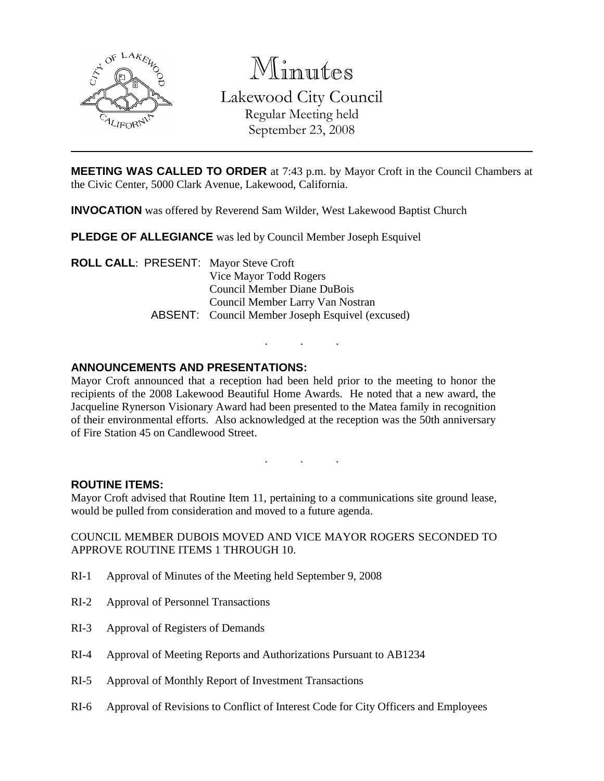

Minutes Lakewood City Council Regular Meeting held September 23, 2008

**MEETING WAS CALLED TO ORDER** at 7:43 p.m. by Mayor Croft in the Council Chambers at the Civic Center, 5000 Clark Avenue, Lakewood, California.

**INVOCATION** was offered by Reverend Sam Wilder, West Lakewood Baptist Church

**PLEDGE OF ALLEGIANCE** was led by Council Member Joseph Esquivel

**ROLL CALL**: PRESENT: Mayor Steve Croft Vice Mayor Todd Rogers Council Member Diane DuBois Council Member Larry Van Nostran ABSENT: Council Member Joseph Esquivel (excused)

## **ANNOUNCEMENTS AND PRESENTATIONS:**

Mayor Croft announced that a reception had been held prior to the meeting to honor the recipients of the 2008 Lakewood Beautiful Home Awards. He noted that a new award, the Jacqueline Rynerson Visionary Award had been presented to the Matea family in recognition of their environmental efforts. Also acknowledged at the reception was the 50th anniversary of Fire Station 45 on Candlewood Street.

. . .

. . .

### **ROUTINE ITEMS:**

Mayor Croft advised that Routine Item 11, pertaining to a communications site ground lease, would be pulled from consideration and moved to a future agenda.

COUNCIL MEMBER DUBOIS MOVED AND VICE MAYOR ROGERS SECONDED TO APPROVE ROUTINE ITEMS 1 THROUGH 10.

- RI-1 Approval of Minutes of the Meeting held September 9, 2008
- RI-2 Approval of Personnel Transactions
- RI-3 Approval of Registers of Demands
- RI-4 Approval of Meeting Reports and Authorizations Pursuant to AB1234
- RI-5 Approval of Monthly Report of Investment Transactions
- RI-6 Approval of Revisions to Conflict of Interest Code for City Officers and Employees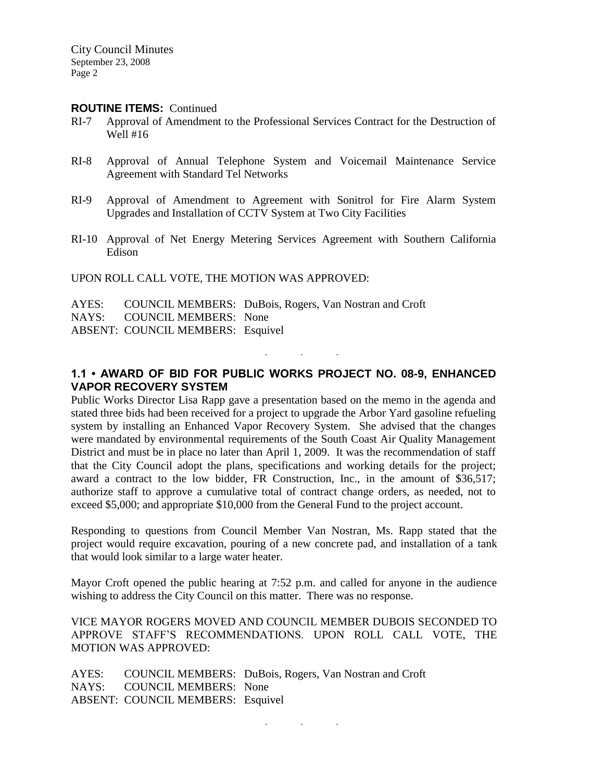### **ROUTINE ITEMS:** Continued

- RI-7 Approval of Amendment to the Professional Services Contract for the Destruction of Well #16
- RI-8 Approval of Annual Telephone System and Voicemail Maintenance Service Agreement with Standard Tel Networks
- RI-9 Approval of Amendment to Agreement with Sonitrol for Fire Alarm System Upgrades and Installation of CCTV System at Two City Facilities
- RI-10 Approval of Net Energy Metering Services Agreement with Southern California Edison

UPON ROLL CALL VOTE, THE MOTION WAS APPROVED:

|                                          | AYES: COUNCIL MEMBERS: DuBois, Rogers, Van Nostran and Croft |
|------------------------------------------|--------------------------------------------------------------|
| NAYS: COUNCIL MEMBERS: None              |                                                              |
| <b>ABSENT: COUNCIL MEMBERS: Esquivel</b> |                                                              |

## **1.1 • AWARD OF BID FOR PUBLIC WORKS PROJECT NO. 08-9, ENHANCED VAPOR RECOVERY SYSTEM**

. . .

Public Works Director Lisa Rapp gave a presentation based on the memo in the agenda and stated three bids had been received for a project to upgrade the Arbor Yard gasoline refueling system by installing an Enhanced Vapor Recovery System. She advised that the changes were mandated by environmental requirements of the South Coast Air Quality Management District and must be in place no later than April 1, 2009. It was the recommendation of staff that the City Council adopt the plans, specifications and working details for the project; award a contract to the low bidder, FR Construction, Inc., in the amount of \$36,517; authorize staff to approve a cumulative total of contract change orders, as needed, not to exceed \$5,000; and appropriate \$10,000 from the General Fund to the project account.

Responding to questions from Council Member Van Nostran, Ms. Rapp stated that the project would require excavation, pouring of a new concrete pad, and installation of a tank that would look similar to a large water heater.

Mayor Croft opened the public hearing at 7:52 p.m. and called for anyone in the audience wishing to address the City Council on this matter. There was no response.

VICE MAYOR ROGERS MOVED AND COUNCIL MEMBER DUBOIS SECONDED TO APPROVE STAFF'S RECOMMENDATIONS. UPON ROLL CALL VOTE, THE MOTION WAS APPROVED:

AYES: COUNCIL MEMBERS: DuBois, Rogers, Van Nostran and Croft NAYS: COUNCIL MEMBERS: None ABSENT: COUNCIL MEMBERS: Esquivel

. . .